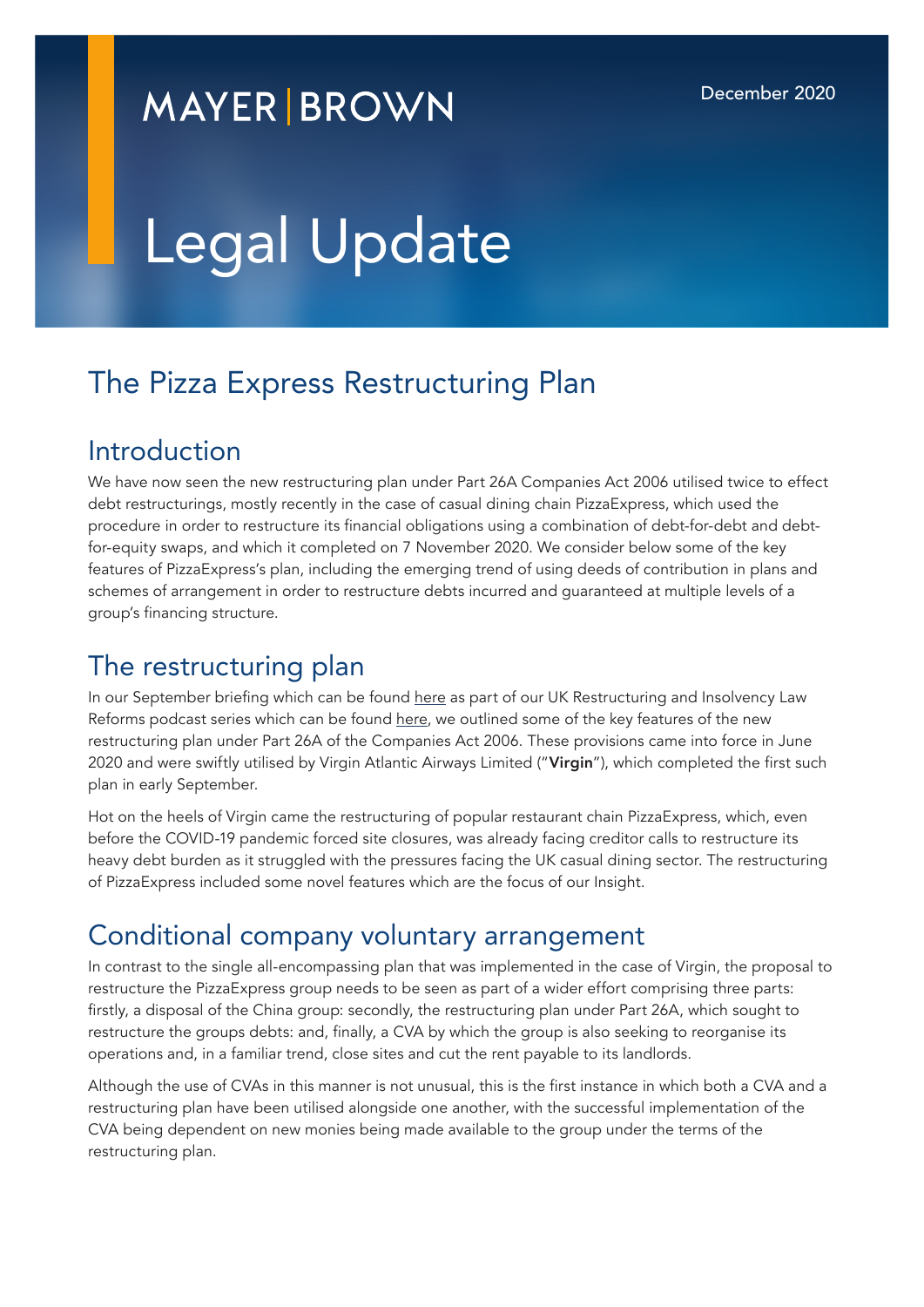# **MAYER BROWN**

# Legal Update

## The Pizza Express Restructuring Plan

#### Introduction

We have now seen the new restructuring plan under Part 26A Companies Act 2006 utilised twice to effect debt restructurings, mostly recently in the case of casual dining chain PizzaExpress, which used the procedure in order to restructure its financial obligations using a combination of debt-for-debt and debtfor-equity swaps, and which it completed on 7 November 2020. We consider below some of the key features of PizzaExpress's plan, including the emerging trend of using deeds of contribution in plans and schemes of arrangement in order to restructure debts incurred and guaranteed at multiple levels of a group's financing structure.

#### The restructuring plan

In our September briefing which can be found [here](https://www.covid19.law/2020/09/restructuring-plan-for-companies-in-financial-difficulty-under-the-corporate-insolvency-and-governance-act-2020/) as part of our UK Restructuring and Insolvency Law Reforms podcast series which can be found [here](https://www.mayerbrown.com/en/perspectives-events/podcasts/uk-restructuring-and-insolvency-law-reforms?pageSize=10&feed=4a1b5fd99aa44a78bf62a3b88761b716), we outlined some of the key features of the new restructuring plan under Part 26A of the Companies Act 2006. These provisions came into force in June 2020 and were swiftly utilised by Virgin Atlantic Airways Limited ("Virgin"), which completed the first such plan in early September.

Hot on the heels of Virgin came the restructuring of popular restaurant chain PizzaExpress, which, even before the COVID-19 pandemic forced site closures, was already facing creditor calls to restructure its heavy debt burden as it struggled with the pressures facing the UK casual dining sector. The restructuring of PizzaExpress included some novel features which are the focus of our Insight.

#### Conditional company voluntary arrangement

In contrast to the single all-encompassing plan that was implemented in the case of Virgin, the proposal to restructure the PizzaExpress group needs to be seen as part of a wider effort comprising three parts: firstly, a disposal of the China group: secondly, the restructuring plan under Part 26A, which sought to restructure the groups debts: and, finally, a CVA by which the group is also seeking to reorganise its operations and, in a familiar trend, close sites and cut the rent payable to its landlords.

Although the use of CVAs in this manner is not unusual, this is the first instance in which both a CVA and a restructuring plan have been utilised alongside one another, with the successful implementation of the CVA being dependent on new monies being made available to the group under the terms of the restructuring plan.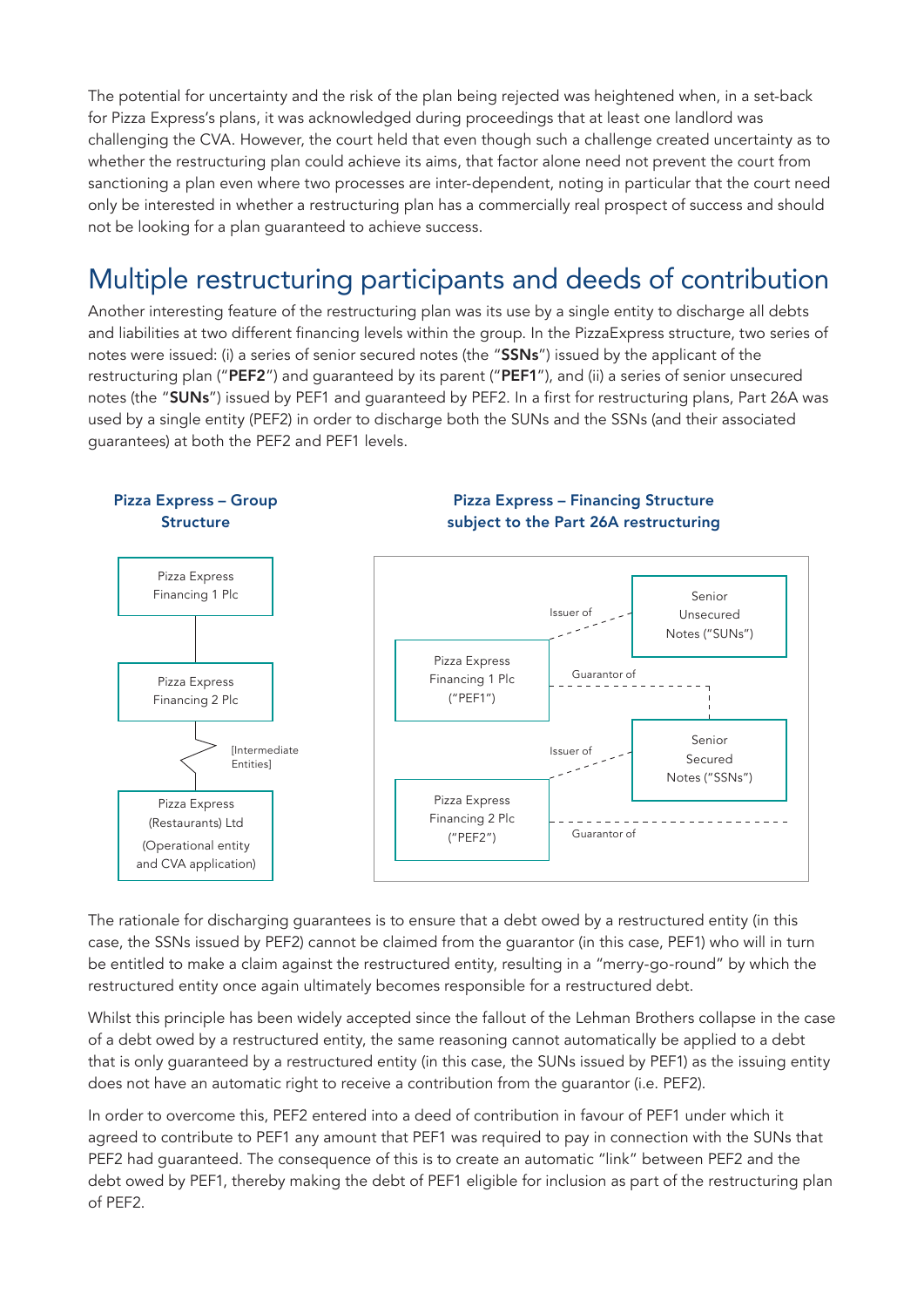The potential for uncertainty and the risk of the plan being rejected was heightened when, in a set-back for Pizza Express's plans, it was acknowledged during proceedings that at least one landlord was challenging the CVA. However, the court held that even though such a challenge created uncertainty as to whether the restructuring plan could achieve its aims, that factor alone need not prevent the court from sanctioning a plan even where two processes are inter-dependent, noting in particular that the court need only be interested in whether a restructuring plan has a commercially real prospect of success and should not be looking for a plan guaranteed to achieve success.

### Multiple restructuring participants and deeds of contribution

Another interesting feature of the restructuring plan was its use by a single entity to discharge all debts and liabilities at two different financing levels within the group. In the PizzaExpress structure, two series of notes were issued: (i) a series of senior secured notes (the "SSNs") issued by the applicant of the restructuring plan ("PEF2") and guaranteed by its parent ("PEF1"), and (ii) a series of senior unsecured notes (the "SUNs") issued by PEF1 and guaranteed by PEF2. In a first for restructuring plans, Part 26A was used by a single entity (PEF2) in order to discharge both the SUNs and the SSNs (and their associated guarantees) at both the PEF2 and PEF1 levels.



The rationale for discharging guarantees is to ensure that a debt owed by a restructured entity (in this case, the SSNs issued by PEF2) cannot be claimed from the guarantor (in this case, PEF1) who will in turn be entitled to make a claim against the restructured entity, resulting in a "merry-go-round" by which the restructured entity once again ultimately becomes responsible for a restructured debt.

Whilst this principle has been widely accepted since the fallout of the Lehman Brothers collapse in the case of a debt owed by a restructured entity, the same reasoning cannot automatically be applied to a debt that is only guaranteed by a restructured entity (in this case, the SUNs issued by PEF1) as the issuing entity does not have an automatic right to receive a contribution from the guarantor (i.e. PEF2).

In order to overcome this, PEF2 entered into a deed of contribution in favour of PEF1 under which it agreed to contribute to PEF1 any amount that PEF1 was required to pay in connection with the SUNs that PEF2 had guaranteed. The consequence of this is to create an automatic "link" between PEF2 and the debt owed by PEF1, thereby making the debt of PEF1 eligible for inclusion as part of the restructuring plan of PEF2.